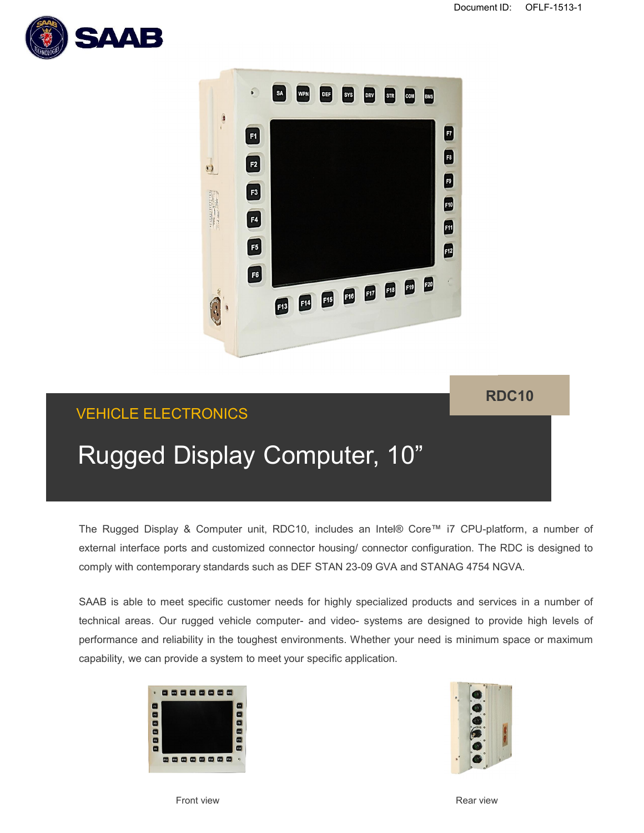



# VEHICLE ELECTRONICS

## **RDC10**

# Rugged Display Computer, 10"

The Rugged Display & Computer unit, RDC10, includes an Intel® Core™ i7 CPU-platform, a number of external interface ports and customized connector housing/ connector configuration. The RDC is designed to comply with contemporary standards such as DEF STAN 23-09 GVA and STANAG 4754 NGVA.

SAAB is able to meet specific customer needs for highly specialized products and services in a number of technical areas. Our rugged vehicle computer- and video- systems are designed to provide high levels of performance and reliability in the toughest environments. Whether your need is minimum space or maximum capability, we can provide a system to meet your specific application.





Front view **Rear view** Rear view